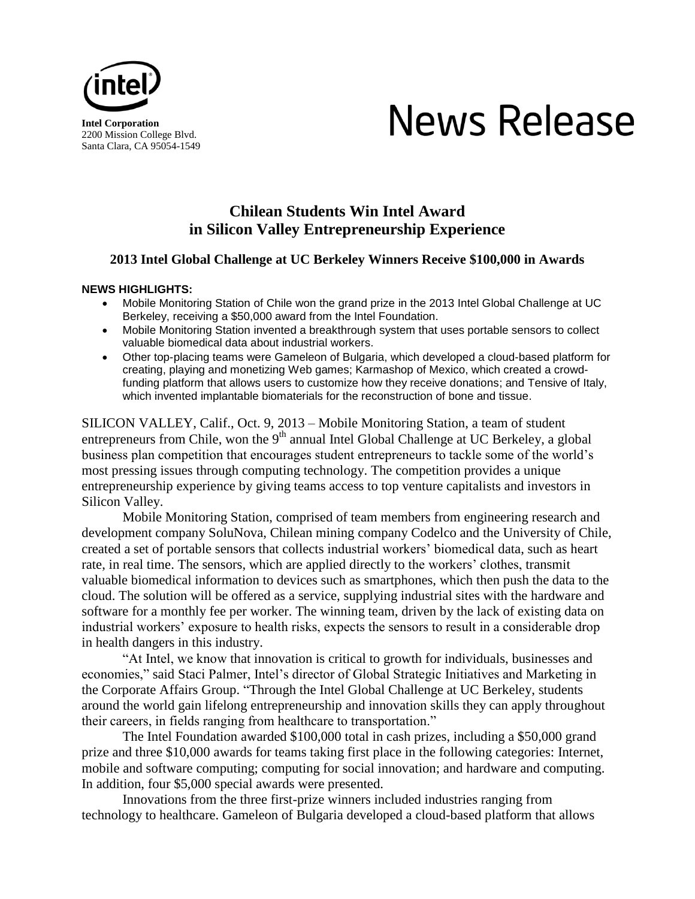

2200 Mission College Blvd. Santa Clara, CA 95054-1549

# News Release

## **Chilean Students Win Intel Award in Silicon Valley Entrepreneurship Experience**

### **2013 Intel Global Challenge at UC Berkeley Winners Receive \$100,000 in Awards**

#### **NEWS HIGHLIGHTS:**

- Mobile Monitoring Station of Chile won the grand prize in the 2013 Intel Global Challenge at UC Berkeley, receiving a \$50,000 award from the Intel Foundation.
- Mobile Monitoring Station invented a breakthrough system that uses portable sensors to collect valuable biomedical data about industrial workers.
- Other top-placing teams were Gameleon of Bulgaria, which developed a cloud-based platform for creating, playing and monetizing Web games; Karmashop of Mexico, which created a crowdfunding platform that allows users to customize how they receive donations; and Tensive of Italy, which invented implantable biomaterials for the reconstruction of bone and tissue.

SILICON VALLEY, Calif., Oct. 9, 2013 – Mobile Monitoring Station, a team of student entrepreneurs from Chile, won the 9<sup>th</sup> annual Intel Global Challenge at UC Berkeley, a global business plan competition that encourages student entrepreneurs to tackle some of the world's most pressing issues through computing technology. The competition provides a unique entrepreneurship experience by giving teams access to top venture capitalists and investors in Silicon Valley.

Mobile Monitoring Station, comprised of team members from engineering research and development company SoluNova, Chilean mining company Codelco and the University of Chile, created a set of portable sensors that collects industrial workers' biomedical data, such as heart rate, in real time. The sensors, which are applied directly to the workers' clothes, transmit valuable biomedical information to devices such as smartphones, which then push the data to the cloud. The solution will be offered as a service, supplying industrial sites with the hardware and software for a monthly fee per worker. The winning team, driven by the lack of existing data on industrial workers' exposure to health risks, expects the sensors to result in a considerable drop in health dangers in this industry.

"At Intel, we know that innovation is critical to growth for individuals, businesses and economies," said Staci Palmer, Intel's director of Global Strategic Initiatives and Marketing in the Corporate Affairs Group. "Through the Intel Global Challenge at UC Berkeley, students around the world gain lifelong entrepreneurship and innovation skills they can apply throughout their careers, in fields ranging from healthcare to transportation."

The Intel Foundation awarded \$100,000 total in cash prizes, including a \$50,000 grand prize and three \$10,000 awards for teams taking first place in the following categories: Internet, mobile and software computing; computing for social innovation; and hardware and computing. In addition, four \$5,000 special awards were presented.

Innovations from the three first-prize winners included industries ranging from technology to healthcare. Gameleon of Bulgaria developed a cloud-based platform that allows